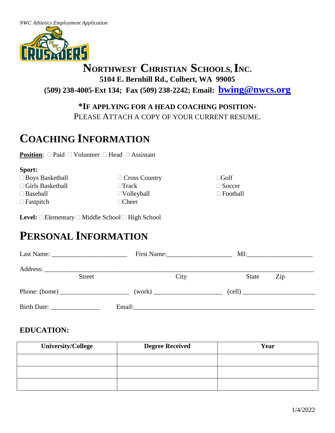



## **NORTHWEST CHRISTIAN SCHOOLS, INC. 5104 E. Bernhill Rd., Colbert, WA 99005 (509) 238-4005-Ext 134; Fax (509) 238-2242; Email: [bwing@nwcs.org](mailto:bwing@nwcs.org)**

**\*IF APPLYING FOR A HEAD COACHING POSITION-**

PLEASE ATTACH A COPY OF YOUR CURRENT RESUME.

# **COACHING INFORMATION**

**Position**:  $\Box$  Paid  $\Box$  Volunteer  $\Box$  Head  $\Box$  Assistant

| Sport:                  |                      |                 |
|-------------------------|----------------------|-----------------|
| $\Box$ Boys Basketball  | $\Box$ Cross Country | $\Box$ Golf     |
| $\Box$ Girls Basketball | $\Box$ Track         | $\Box$ Soccer   |
| $\Box$ Baseball         | $\Box$ Volleyball    | $\Box$ Football |
| $\Box$ Fastpitch        | $\Box$ Cheer         |                 |

 $\textbf{Level:} \ \Box \ \textbf{Elementary} \ \Box \ \textbf{Middle School} \ \Box \ \textbf{High School}$ 

# **PERSONAL INFORMATION**

|                                                                           | First Name:                                                                                                     |       | MI: North Communication of the Communication of the Communication of the Communication of the Communication of the Communication of the Communication of the Communication of the Communication of the Communication of the Co |
|---------------------------------------------------------------------------|-----------------------------------------------------------------------------------------------------------------|-------|--------------------------------------------------------------------------------------------------------------------------------------------------------------------------------------------------------------------------------|
|                                                                           |                                                                                                                 |       |                                                                                                                                                                                                                                |
| <b>Street</b>                                                             | City                                                                                                            | State | Zip                                                                                                                                                                                                                            |
|                                                                           |                                                                                                                 |       |                                                                                                                                                                                                                                |
| Birth Date: $\frac{1}{\frac{1}{2} \sum_{i=1}^{n} x_i^2 + \cdots + x_i^2}$ | Email: 2008. 2008. 2010. 2010. 2010. 2010. 2010. 2010. 2010. 2010. 2010. 2010. 2010. 2010. 2010. 2010. 2010. 20 |       |                                                                                                                                                                                                                                |

## **EDUCATION:**

| <b>University/College</b> | <b>Degree Received</b> | Year |
|---------------------------|------------------------|------|
|                           |                        |      |
|                           |                        |      |
|                           |                        |      |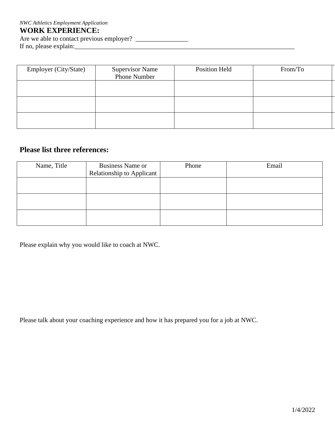| Employer (City/State) | <b>Supervisor Name</b><br><b>Phone Number</b> | Position Held | From/To |
|-----------------------|-----------------------------------------------|---------------|---------|
|                       |                                               |               |         |
|                       |                                               |               |         |
|                       |                                               |               |         |

### **Please list three references:**

| Name, Title | <b>Business Name or</b><br>Relationship to Applicant | Phone | Email |
|-------------|------------------------------------------------------|-------|-------|
|             |                                                      |       |       |
|             |                                                      |       |       |
|             |                                                      |       |       |

Please explain why you would like to coach at NWC.

Please talk about your coaching experience and how it has prepared you for a job at NWC.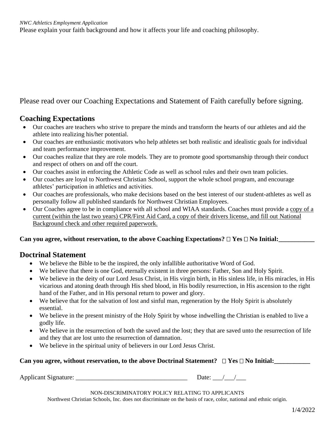Please explain your faith background and how it affects your life and coaching philosophy.

Please read over our Coaching Expectations and Statement of Faith carefully before signing.

### **Coaching Expectations**

- Our coaches are teachers who strive to prepare the minds and transform the hearts of our athletes and aid the athlete into realizing his/her potential.
- Our coaches are enthusiastic motivators who help athletes set both realistic and idealistic goals for individual and team performance improvement.
- Our coaches realize that they are role models. They are to promote good sportsmanship through their conduct and respect of others on and off the court.
- Our coaches assist in enforcing the Athletic Code as well as school rules and their own team policies.
- Our coaches are loyal to Northwest Christian School, support the whole school program, and encourage athletes' participation in athletics and activities.
- Our coaches are professionals, who make decisions based on the best interest of our student-athletes as well as personally follow all published standards for Northwest Christian Employees.
- Our Coaches agree to be in compliance with all school and WIAA standards. Coaches must provide a copy of a current (within the last two years) CPR/First Aid Card, a copy of their drivers license, and fill out National Background check and other required paperwork.

#### **Can you agree, without reservation, to the above Coaching Expectations?**  $\Box$  **Yes**  $\Box$  **No Initial:**

#### **Doctrinal Statement**

- We believe the Bible to be the inspired, the only infallible authoritative Word of God.
- We believe that there is one God, eternally existent in three persons: Father, Son and Holy Spirit.
- We believe in the deity of our Lord Jesus Christ, in His virgin birth, in His sinless life, in His miracles, in His vicarious and atoning death through His shed blood, in His bodily resurrection, in His ascension to the right hand of the Father, and in His personal return to power and glory.
- We believe that for the salvation of lost and sinful man, regeneration by the Holy Spirit is absolutely essential.
- We believe in the present ministry of the Holy Spirit by whose indwelling the Christian is enabled to live a godly life.
- We believe in the resurrection of both the saved and the lost; they that are saved unto the resurrection of life and they that are lost unto the resurrection of damnation.
- We believe in the spiritual unity of believers in our Lord Jesus Christ.

#### Can you agree, without reservation, to the above Doctrinal Statement?  $\Box$  Yes  $\Box$  No Initial:

Applicant Signature: \_\_\_\_\_\_\_\_\_\_\_\_\_\_\_\_\_\_\_\_\_\_\_\_\_\_\_\_\_\_\_\_\_\_ Date: \_\_\_/\_\_\_/\_\_\_

NON-DISCRIMINATORY POLICY RELATING TO APPLICANTS

Northwest Christian Schools, Inc. does not discriminate on the basis of race, color, national and ethnic origin.